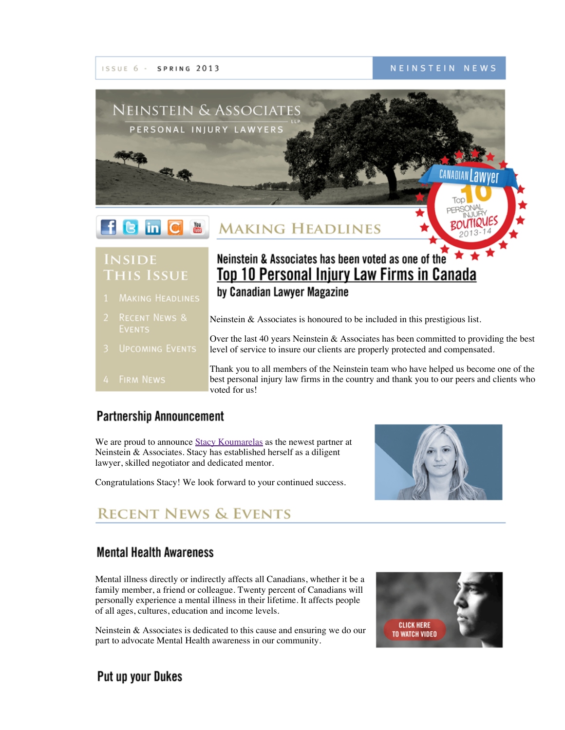

NEINSTEIN NEWS



### **INSIDE THIS ISSUE**

- Neinstein & Associates has been voted as one of the Top 10 Personal Injury Law Firms in Canada by Canadian Lawyer Magazine
- Neinstein & Associates is honoured to be included in this prestigious list.
	- Over the last 40 years Neinstein & Associates has been committed to providing the best level of service to insure our clients are properly protected and compensated.
	- Thank you to all members of the Neinstein team who have helped us become one of the best personal injury law firms in the country and thank you to our peers and clients who voted for us!

### **Partnership Announcement**

**UPCOMING EVENTS** 

We are proud to announce Stacy [Koumarelas](http://www.neinstein.com/stacy_koumarelas/) as the newest partner at Neinstein & Associates. Stacy has established herself as a diligent lawyer, skilled negotiator and dedicated mentor.

Congratulations Stacy! We look forward to your continued success.



# **RECENT NEWS & EVENTS**

#### **Mental Health Awareness**

Mental illness directly or indirectly affects all Canadians, whether it be a family member, a friend or colleague. Twenty percent of Canadians will personally experience a mental illness in their lifetime. It affects people of all ages, cultures, education and income levels.

Neinstein & Associates is dedicated to this cause and ensuring we do our part to advocate Mental Health awareness in our community.



#### Put up your Dukes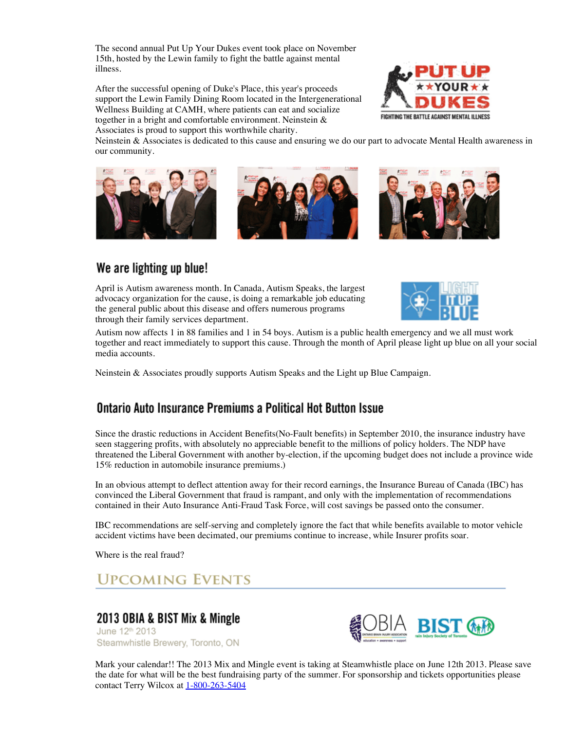The second annual Put Up Your Dukes event took place on November 15th, hosted by the Lewin family to fight the battle against mental illness.

After the successful opening of Duke's Place, this year's proceeds support the Lewin Family Dining Room located in the Intergenerational Wellness Building at CAMH, where patients can eat and socialize together in a bright and comfortable environment. Neinstein & Associates is proud to support this worthwhile charity.



Neinstein & Associates is dedicated to this cause and ensuring we do our part to advocate Mental Health awareness in our community.







#### We are lighting up blue!

April is Autism awareness month. In Canada, Autism Speaks, the largest advocacy organization for the cause, is doing a remarkable job educating the general public about this disease and offers numerous programs through their family services department.



Autism now affects 1 in 88 families and 1 in 54 boys. Autism is a public health [emergency](https://www.autismspeaks.org/liub) and we all must work together and react immediately to support this cause. Through the month of April please light up blue on all your social media accounts.

Neinstein & Associates proudly supports Autism Speaks and the Light up Blue Campaign.

#### Ontario Auto Insurance Premiums a Political Hot Button Issue

Since the drastic reductions in Accident Benefits(No-Fault benefits) in September 2010, the insurance industry have seen staggering profits, with absolutely no appreciable benefit to the millions of policy holders. The NDP have threatened the Liberal Government with another by-election, if the upcoming budget does not include a province wide 15% reduction in automobile insurance premiums.)

In an obvious attempt to deflect attention away for their record earnings, the Insurance Bureau of Canada (IBC) has convinced the Liberal Government that fraud is rampant, and only with the implementation of recommendations contained in their Auto Insurance Anti-Fraud Task Force, will cost savings be passed onto the consumer.

IBC recommendations are self-serving and completely ignore the fact that while benefits available to motor vehicle accident victims have been decimated, our premiums continue to increase, while Insurer profits soar.

Where is the real fraud?

### **UPCOMING EVENTS**

#### 2013 OBIA & BIST Mix & Mingle

June 12<sup>th</sup> 2013 Steamwhistle Brewery, Toronto, ON



Mark your calendar!! The 2013 Mix and Mingle event is taking at [Steamwhistle](http://www.obia.ca/) place on June 12th [2013.](http://www.bist.ca/) Please save the date for what will be the best fundraising party of the summer. For sponsorship and tickets opportunities please contact Terry Wilcox at  $1-800-263-5404$